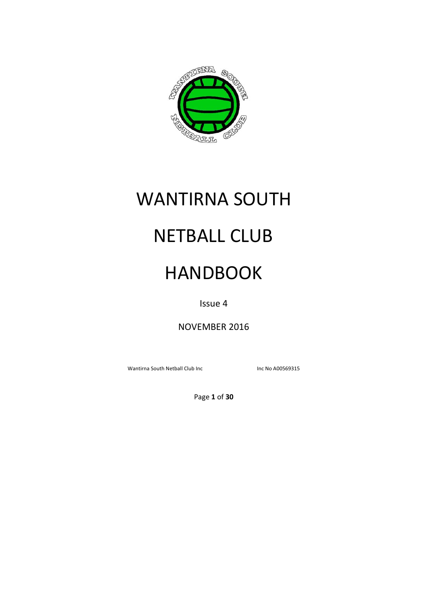

# WANTIRNA SOUTH

## NETBALL CLUB

## HANDBOOK

Issue 4

NOVEMBER 2016

Wantirna South Netball Club Inc **Inc 19 and South Netball Club** Inc **Inc No A00569315** 

Page **1** of **30**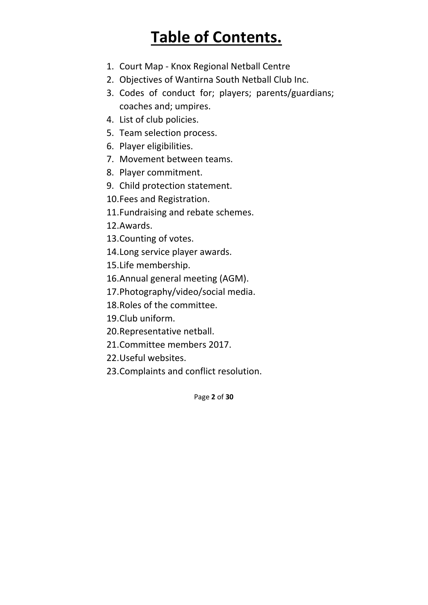## **Table of Contents.**

- 1. Court Map ‐ Knox Regional Netball Centre
- 2. Objectives of Wantirna South Netball Club Inc.
- 3. Codes of conduct for; players; parents/guardians; coaches and; umpires.
- 4. List of club policies.
- 5. Team selection process.
- 6. Player eligibilities.
- 7. Movement between teams.
- 8. Player commitment.
- 9. Child protection statement.
- 10.Fees and Registration.
- 11.Fundraising and rebate schemes.
- 12.Awards.
- 13.Counting of votes.
- 14.Long service player awards.
- 15.Life membership.
- 16.Annual general meeting (AGM).
- 17.Photography/video/social media.
- 18.Roles of the committee.
- 19.Club uniform.
- 20.Representative netball.
- 21.Committee members 2017.
- 22.Useful websites.
- 23.Complaints and conflict resolution.

Page **2** of **30**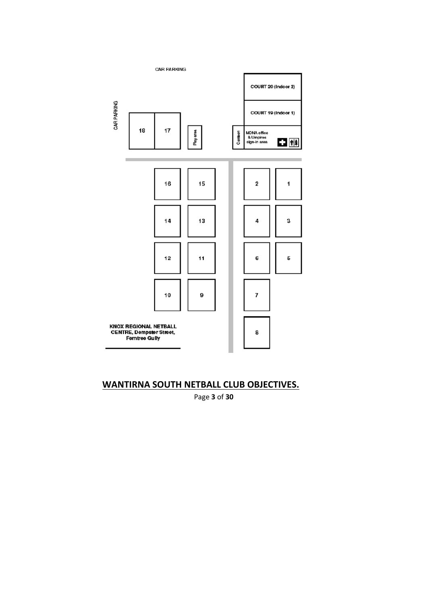

## **WANTIRNA SOUTH NETBALL CLUB OBJECTIVES.**

Page **3** of **30**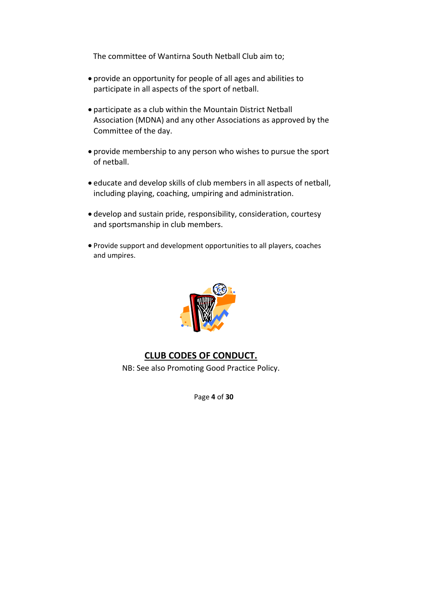The committee of Wantirna South Netball Club aim to;

- provide an opportunity for people of all ages and abilities to participate in all aspects of the sport of netball.
- participate as a club within the Mountain District Netball Association (MDNA) and any other Associations as approved by the Committee of the day.
- provide membership to any person who wishes to pursue the sport of netball.
- educate and develop skills of club members in all aspects of netball, including playing, coaching, umpiring and administration.
- develop and sustain pride, responsibility, consideration, courtesy and sportsmanship in club members.
- Provide support and development opportunities to all players, coaches and umpires.



#### **CLUB CODES OF CONDUCT.**

NB: See also Promoting Good Practice Policy.

Page **4** of **30**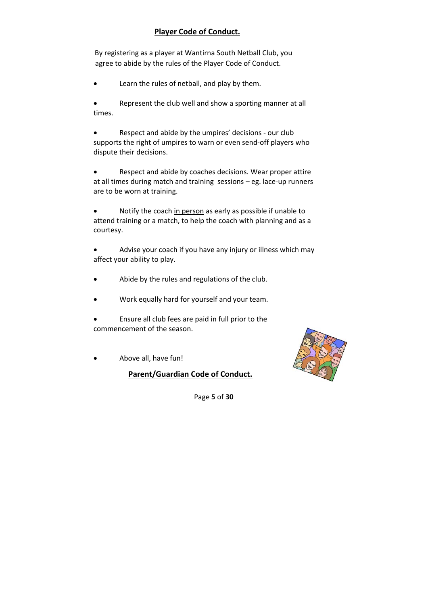#### **Player Code of Conduct.**

By registering as a player at Wantirna South Netball Club, you agree to abide by the rules of the Player Code of Conduct.

Learn the rules of netball, and play by them.

 Represent the club well and show a sporting manner at all times.

 Respect and abide by the umpires' decisions ‐ our club supports the right of umpires to warn or even send‐off players who dispute their decisions.

 Respect and abide by coaches decisions. Wear proper attire at all times during match and training sessions – eg. lace‐up runners are to be worn at training.

 Notify the coach in person as early as possible if unable to attend training or a match, to help the coach with planning and as a courtesy.

 Advise your coach if you have any injury or illness which may affect your ability to play.

- Abide by the rules and regulations of the club.
- Work equally hard for yourself and your team.

 Ensure all club fees are paid in full prior to the commencement of the season.

Above all, have fun!

**Parent/Guardian Code of Conduct.**



Page **5** of **30**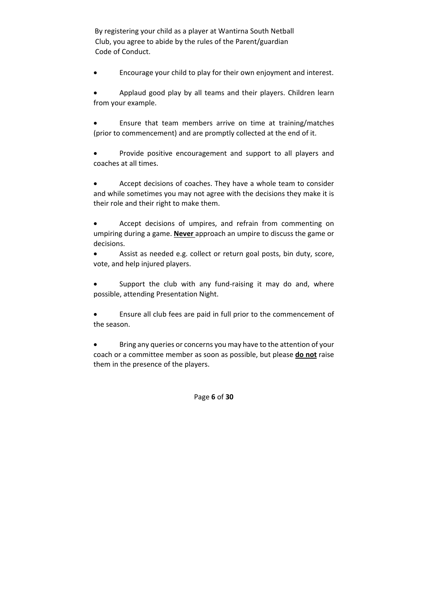By registering your child as a player at Wantirna South Netball Club, you agree to abide by the rules of the Parent/guardian Code of Conduct.

Encourage your child to play for their own enjoyment and interest.

 Applaud good play by all teams and their players. Children learn from your example.

 Ensure that team members arrive on time at training/matches (prior to commencement) and are promptly collected at the end of it.

 Provide positive encouragement and support to all players and coaches at all times.

 Accept decisions of coaches. They have a whole team to consider and while sometimes you may not agree with the decisions they make it is their role and their right to make them.

 Accept decisions of umpires, and refrain from commenting on umpiring during a game. **Never** approach an umpire to discuss the game or decisions.

 Assist as needed e.g. collect or return goal posts, bin duty, score, vote, and help injured players.

Support the club with any fund-raising it may do and, where possible, attending Presentation Night.

 Ensure all club fees are paid in full prior to the commencement of the season.

 Bring any queries or concerns you may have to the attention of your coach or a committee member as soon as possible, but please **do not** raise them in the presence of the players.

Page **6** of **30**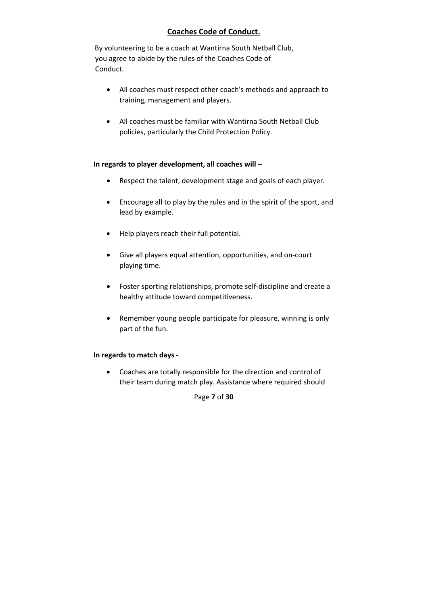#### **Coaches Code of Conduct.**

By volunteering to be a coach at Wantirna South Netball Club, you agree to abide by the rules of the Coaches Code of Conduct.

- All coaches must respect other coach's methods and approach to training, management and players.
- All coaches must be familiar with Wantirna South Netball Club policies, particularly the Child Protection Policy.

#### **In regards to player development, all coaches will –**

- Respect the talent, development stage and goals of each player.
- Encourage all to play by the rules and in the spirit of the sport, and lead by example.
- Help players reach their full potential.
- Give all players equal attention, opportunities, and on‐court playing time.
- Foster sporting relationships, promote self‐discipline and create a healthy attitude toward competitiveness.
- Remember young people participate for pleasure, winning is only part of the fun.

#### **In regards to match days ‐**

 Coaches are totally responsible for the direction and control of their team during match play. Assistance where required should

Page **7** of **30**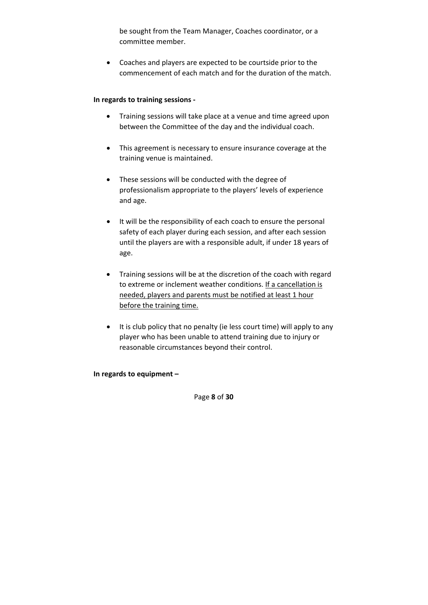be sought from the Team Manager, Coaches coordinator, or a committee member.

 Coaches and players are expected to be courtside prior to the commencement of each match and for the duration of the match.

#### **In regards to training sessions ‐**

- Training sessions will take place at a venue and time agreed upon between the Committee of the day and the individual coach.
- This agreement is necessary to ensure insurance coverage at the training venue is maintained.
- These sessions will be conducted with the degree of professionalism appropriate to the players' levels of experience and age.
- It will be the responsibility of each coach to ensure the personal safety of each player during each session, and after each session until the players are with a responsible adult, if under 18 years of age.
- Training sessions will be at the discretion of the coach with regard to extreme or inclement weather conditions. If a cancellation is needed, players and parents must be notified at least 1 hour before the training time.
- It is club policy that no penalty (ie less court time) will apply to any player who has been unable to attend training due to injury or reasonable circumstances beyond their control.

**In regards to equipment –** 

Page **8** of **30**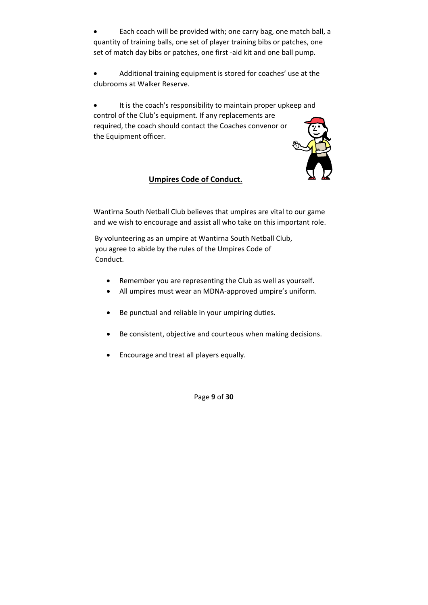Each coach will be provided with; one carry bag, one match ball, a quantity of training balls, one set of player training bibs or patches, one set of match day bibs or patches, one first ‐aid kit and one ball pump.

 Additional training equipment is stored for coaches' use at the clubrooms at Walker Reserve.

 It is the coach's responsibility to maintain proper upkeep and control of the Club's equipment. If any replacements are required, the coach should contact the Coaches convenor or the Equipment officer.

#### **Umpires Code of Conduct.**

Wantirna South Netball Club believes that umpires are vital to our game and we wish to encourage and assist all who take on this important role.

By volunteering as an umpire at Wantirna South Netball Club, you agree to abide by the rules of the Umpires Code of Conduct.

- Remember you are representing the Club as well as yourself.
- All umpires must wear an MDNA-approved umpire's uniform.
- Be punctual and reliable in your umpiring duties.
- Be consistent, objective and courteous when making decisions.
- Encourage and treat all players equally.

Page **9** of **30**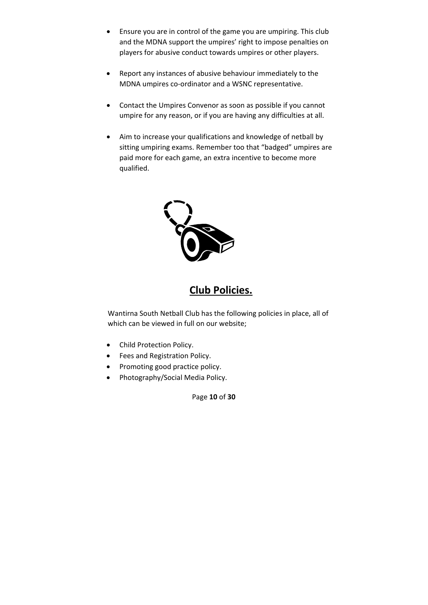- Ensure you are in control of the game you are umpiring. This club and the MDNA support the umpires' right to impose penalties on players for abusive conduct towards umpires or other players.
- Report any instances of abusive behaviour immediately to the MDNA umpires co‐ordinator and a WSNC representative.
- Contact the Umpires Convenor as soon as possible if you cannot umpire for any reason, or if you are having any difficulties at all.
- Aim to increase your qualifications and knowledge of netball by sitting umpiring exams. Remember too that "badged" umpires are paid more for each game, an extra incentive to become more qualified.



## **Club Policies.**

Wantirna South Netball Club has the following policies in place, all of which can be viewed in full on our website;

- Child Protection Policy.
- Fees and Registration Policy.
- Promoting good practice policy.
- Photography/Social Media Policy.

Page **10** of **30**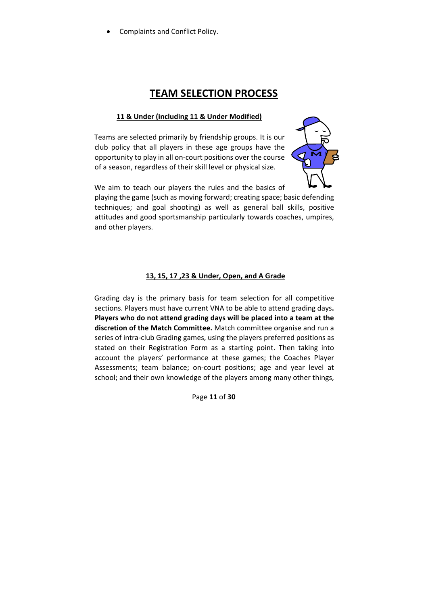Complaints and Conflict Policy.

## **TEAM SELECTION PROCESS**

#### **11 & Under (including 11 & Under Modified)**

Teams are selected primarily by friendship groups. It is our club policy that all players in these age groups have the opportunity to play in all on‐court positions over the course of a season, regardless of their skill level or physical size.



We aim to teach our players the rules and the basics of

playing the game (such as moving forward; creating space; basic defending techniques; and goal shooting) as well as general ball skills, positive attitudes and good sportsmanship particularly towards coaches, umpires, and other players.

#### **13, 15, 17 ,23 & Under, Open, and A Grade**

Grading day is the primary basis for team selection for all competitive sections. Players must have current VNA to be able to attend grading days**. Players who do not attend grading days will be placed into a team at the discretion of the Match Committee.** Match committee organise and run a series of intra-club Grading games, using the players preferred positions as stated on their Registration Form as a starting point. Then taking into account the players' performance at these games; the Coaches Player Assessments; team balance; on-court positions; age and year level at school; and their own knowledge of the players among many other things,

Page **11** of **30**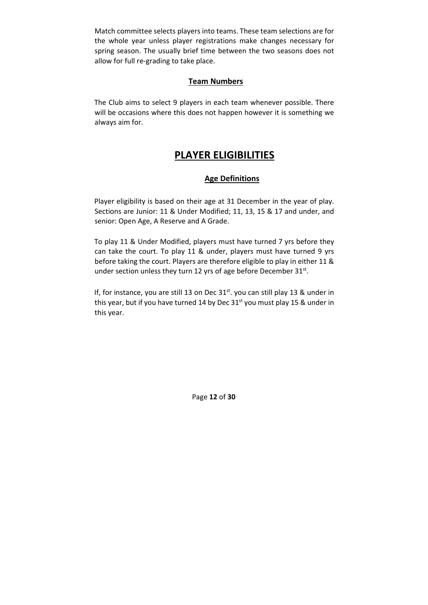Match committee selects players into teams. These team selections are for the whole year unless player registrations make changes necessary for spring season. The usually brief time between the two seasons does not allow for full re‐grading to take place.

#### **Team Numbers**

The Club aims to select 9 players in each team whenever possible. There will be occasions where this does not happen however it is something we always aim for.

## **PLAYER ELIGIBILITIES**

#### **Age Definitions**

Player eligibility is based on their age at 31 December in the year of play. Sections are Junior: 11 & Under Modified; 11, 13, 15 & 17 and under, and senior: Open Age, A Reserve and A Grade.

To play 11 & Under Modified, players must have turned 7 yrs before they can take the court. To play 11 & under, players must have turned 9 yrs before taking the court. Players are therefore eligible to play in either 11 & under section unless they turn 12 yrs of age before December  $31^{st}$ .

If, for instance, you are still 13 on Dec  $31<sup>st</sup>$ . you can still play 13 & under in this year, but if you have turned 14 by Dec  $31<sup>st</sup>$  you must play 15 & under in this year.

Page **12** of **30**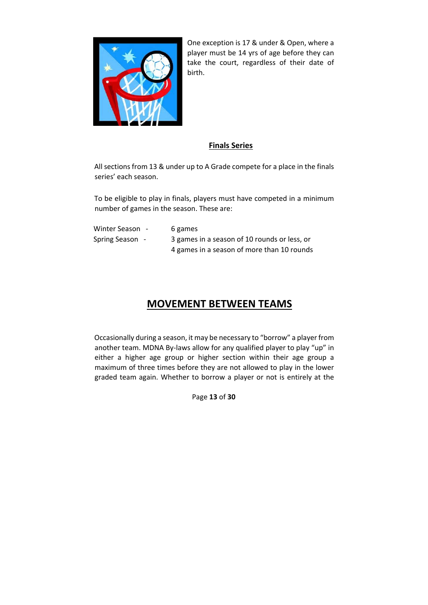

One exception is 17 & under & Open, where a player must be 14 yrs of age before they can take the court, regardless of their date of birth.

#### **Finals Series**

All sections from 13 & under up to A Grade compete for a place in the finals series' each season.

To be eligible to play in finals, players must have competed in a minimum number of games in the season. These are:

| Winter Season - | 6 games                                      |
|-----------------|----------------------------------------------|
| Spring Season - | 3 games in a season of 10 rounds or less, or |
|                 | 4 games in a season of more than 10 rounds   |

## **MOVEMENT BETWEEN TEAMS**

Occasionally during a season, it may be necessary to "borrow" a player from another team. MDNA By-laws allow for any qualified player to play "up" in either a higher age group or higher section within their age group a maximum of three times before they are not allowed to play in the lower graded team again. Whether to borrow a player or not is entirely at the

Page **13** of **30**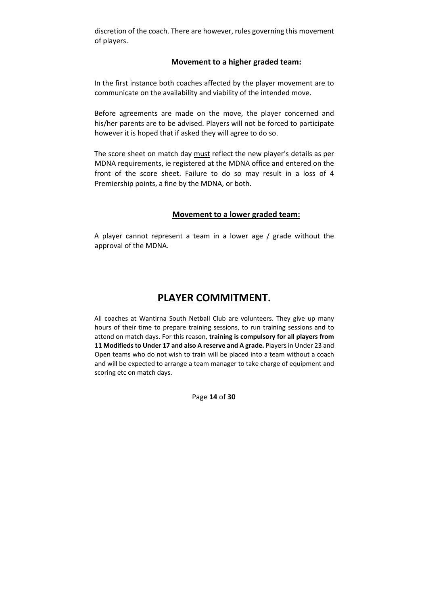discretion of the coach. There are however, rules governing this movement of players.

#### **Movement to a higher graded team:**

In the first instance both coaches affected by the player movement are to communicate on the availability and viability of the intended move.

Before agreements are made on the move, the player concerned and his/her parents are to be advised. Players will not be forced to participate however it is hoped that if asked they will agree to do so.

The score sheet on match day must reflect the new player's details as per MDNA requirements, ie registered at the MDNA office and entered on the front of the score sheet. Failure to do so may result in a loss of 4 Premiership points, a fine by the MDNA, or both.

#### **Movement to a lower graded team:**

A player cannot represent a team in a lower age / grade without the approval of the MDNA.

### **PLAYER COMMITMENT.**

All coaches at Wantirna South Netball Club are volunteers. They give up many hours of their time to prepare training sessions, to run training sessions and to attend on match days. For this reason, **training is compulsory for all players from 11 Modifiedsto Under 17 and also A reserve and A grade.** Playersin Under 23 and Open teams who do not wish to train will be placed into a team without a coach and will be expected to arrange a team manager to take charge of equipment and scoring etc on match days.

Page **14** of **30**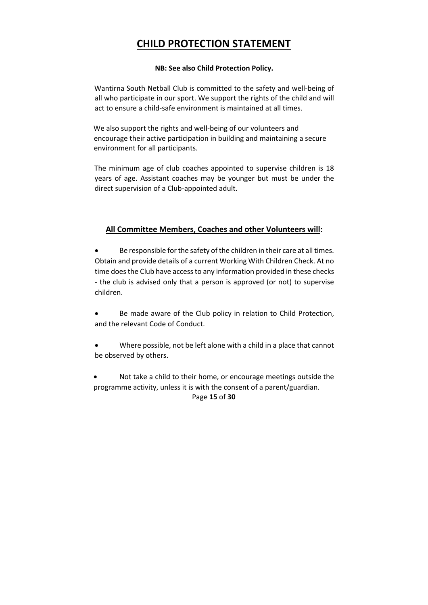## **CHILD PROTECTION STATEMENT**

#### **NB: See also Child Protection Policy.**

Wantirna South Netball Club is committed to the safety and well‐being of all who participate in our sport. We support the rights of the child and will act to ensure a child‐safe environment is maintained at all times.

We also support the rights and well-being of our volunteers and encourage their active participation in building and maintaining a secure environment for all participants.

The minimum age of club coaches appointed to supervise children is 18 years of age. Assistant coaches may be younger but must be under the direct supervision of a Club‐appointed adult.

#### **All Committee Members, Coaches and other Volunteers will:**

Be responsible for the safety of the children in their care at all times. Obtain and provide details of a current Working With Children Check. At no time does the Club have access to any information provided in these checks ‐ the club is advised only that a person is approved (or not) to supervise children.

 Be made aware of the Club policy in relation to Child Protection, and the relevant Code of Conduct.

 Where possible, not be left alone with a child in a place that cannot be observed by others.

Page **15** of **30** Not take a child to their home, or encourage meetings outside the programme activity, unless it is with the consent of a parent/guardian.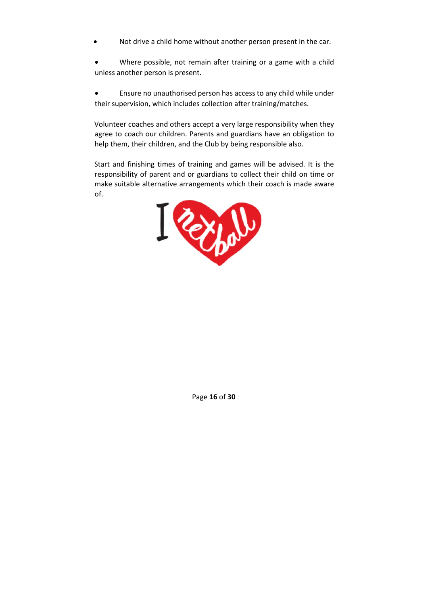Not drive a child home without another person present in the car.

 Where possible, not remain after training or a game with a child unless another person is present.

 Ensure no unauthorised person has access to any child while under their supervision, which includes collection after training/matches.

Volunteer coaches and others accept a very large responsibility when they agree to coach our children. Parents and guardians have an obligation to help them, their children, and the Club by being responsible also.

Start and finishing times of training and games will be advised. It is the responsibility of parent and or guardians to collect their child on time or make suitable alternative arrangements which their coach is made aware of.



Page **16** of **30**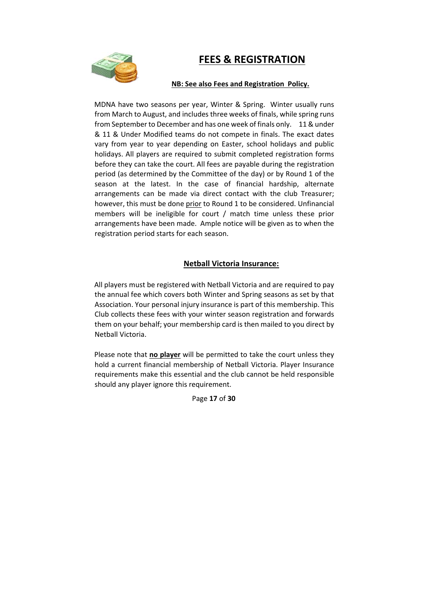## **FEES & REGISTRATION**



#### **NB: See also Fees and Registration Policy.**

MDNA have two seasons per year, Winter & Spring. Winter usually runs from March to August, and includes three weeks of finals, while spring runs from September to December and has one week of finals only. 11 & under & 11 & Under Modified teams do not compete in finals. The exact dates vary from year to year depending on Easter, school holidays and public holidays. All players are required to submit completed registration forms before they can take the court. All fees are payable during the registration period (as determined by the Committee of the day) or by Round 1 of the season at the latest. In the case of financial hardship, alternate arrangements can be made via direct contact with the club Treasurer; however, this must be done prior to Round 1 to be considered. Unfinancial members will be ineligible for court / match time unless these prior arrangements have been made. Ample notice will be given as to when the registration period starts for each season.

#### **Netball Victoria Insurance:**

All players must be registered with Netball Victoria and are required to pay the annual fee which covers both Winter and Spring seasons as set by that Association. Your personal injury insurance is part of this membership. This Club collects these fees with your winter season registration and forwards them on your behalf; your membership card is then mailed to you direct by Netball Victoria.

Please note that **no player** will be permitted to take the court unless they hold a current financial membership of Netball Victoria. Player Insurance requirements make this essential and the club cannot be held responsible should any player ignore this requirement.

Page **17** of **30**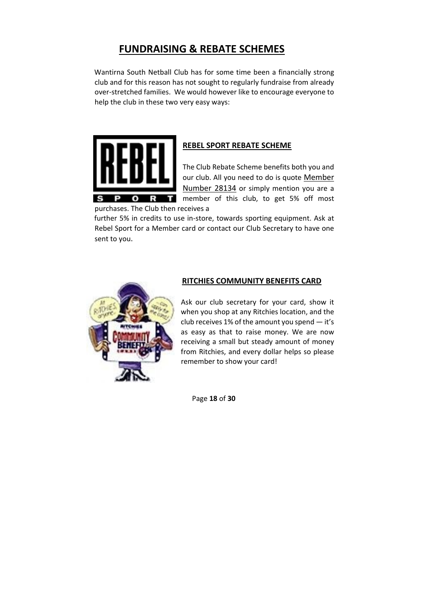## **FUNDRAISING & REBATE SCHEMES**

Wantirna South Netball Club has for some time been a financially strong club and for this reason has not sought to regularly fundraise from already over‐stretched families. We would however like to encourage everyone to help the club in these two very easy ways:



#### **REBEL SPORT REBATE SCHEME**

The Club Rebate Scheme benefits both you and our club. All you need to do is quote Member Number 28134 or simply mention you are a **m** member of this club, to get 5% off most

purchases. The Club then receives a

further 5% in credits to use in‐store, towards sporting equipment. Ask at Rebel Sport for a Member card or contact our Club Secretary to have one sent to you.



#### **RITCHIES COMMUNITY BENEFITS CARD**

Ask our club secretary for your card, show it when you shop at any Ritchies location, and the club receives 1% of the amount you spend — it's as easy as that to raise money. We are now receiving a small but steady amount of money from Ritchies, and every dollar helps so please remember to show your card!

Page **18** of **30**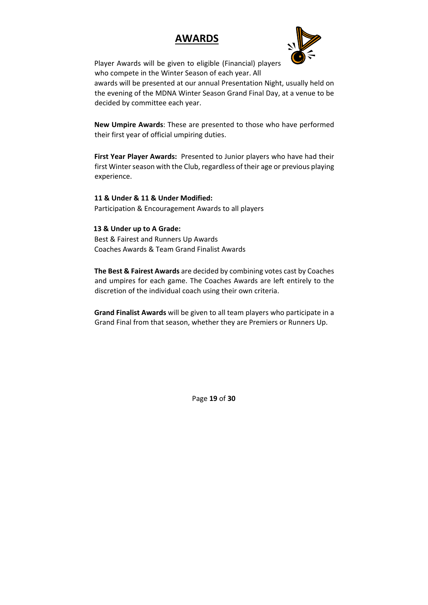## **AWARDS**



Player Awards will be given to eligible (Financial) players who compete in the Winter Season of each year. All

awards will be presented at our annual Presentation Night, usually held on the evening of the MDNA Winter Season Grand Final Day, at a venue to be decided by committee each year.

**New Umpire Awards**: These are presented to those who have performed their first year of official umpiring duties.

**First Year Player Awards:** Presented to Junior players who have had their first Winter season with the Club, regardless of their age or previous playing experience.

**11 & Under & 11 & Under Modified:**  Participation & Encouragement Awards to all players

**13 & Under up to A Grade:**  Best & Fairest and Runners Up Awards Coaches Awards & Team Grand Finalist Awards

**The Best & Fairest Awards** are decided by combining votes cast by Coaches and umpires for each game. The Coaches Awards are left entirely to the discretion of the individual coach using their own criteria.

**Grand Finalist Awards** will be given to all team players who participate in a Grand Final from that season, whether they are Premiers or Runners Up.

Page **19** of **30**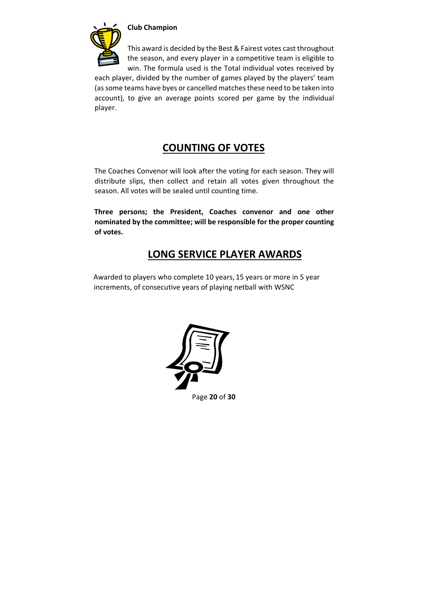

#### **Club Champion**

This award is decided by the Best & Fairest votes cast throughout the season, and every player in a competitive team is eligible to win. The formula used is the Total individual votes received by

each player, divided by the number of games played by the players' team (as some teams have byes or cancelled matches these need to be taken into account), to give an average points scored per game by the individual player.

## **COUNTING OF VOTES**

The Coaches Convenor will look after the voting for each season. They will distribute slips, then collect and retain all votes given throughout the season. All votes will be sealed until counting time.

**Three persons; the President, Coaches convenor and one other nominated by the committee; will be responsible for the proper counting of votes.** 

## **LONG SERVICE PLAYER AWARDS**

Awarded to players who complete 10 years, 15 years or more in 5 year increments, of consecutive years of playing netball with WSNC



Page **20** of **30**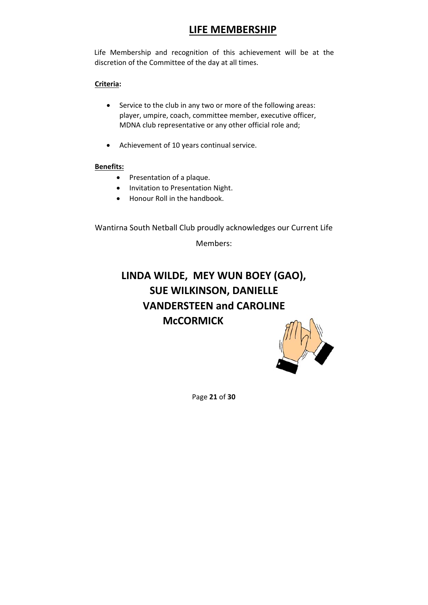## **LIFE MEMBERSHIP**

Life Membership and recognition of this achievement will be at the discretion of the Committee of the day at all times.

#### **Criteria:**

- Service to the club in any two or more of the following areas: player, umpire, coach, committee member, executive officer, MDNA club representative or any other official role and;
- Achievement of 10 years continual service.

#### **Benefits:**

- Presentation of a plaque.
- Invitation to Presentation Night.
- Honour Roll in the handbook.

Wantirna South Netball Club proudly acknowledges our Current Life

Members:

## **LINDA WILDE, MEY WUN BOEY (GAO), SUE WILKINSON, DANIELLE VANDERSTEEN and CAROLINE McCORMICK**



Page **21** of **30**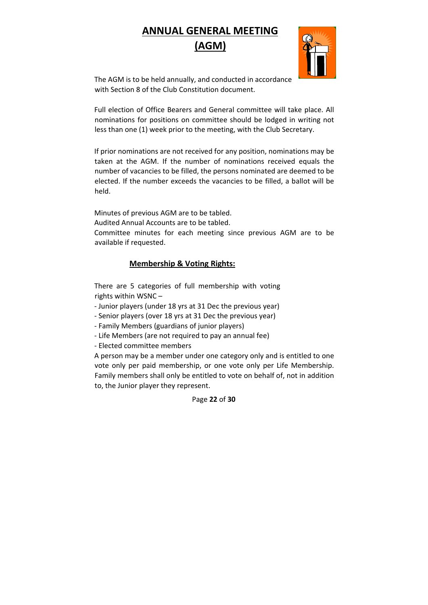## **ANNUAL GENERAL MEETING (AGM)**



The AGM is to be held annually, and conducted in accordance with Section 8 of the Club Constitution document.

Full election of Office Bearers and General committee will take place. All nominations for positions on committee should be lodged in writing not less than one (1) week prior to the meeting, with the Club Secretary.

If prior nominations are not received for any position, nominations may be taken at the AGM. If the number of nominations received equals the number of vacancies to be filled, the persons nominated are deemed to be elected. If the number exceeds the vacancies to be filled, a ballot will be held.

Minutes of previous AGM are to be tabled.

Audited Annual Accounts are to be tabled.

Committee minutes for each meeting since previous AGM are to be available if requested.

#### **Membership & Voting Rights:**

There are 5 categories of full membership with voting rights within WSNC –

‐ Junior players (under 18 yrs at 31 Dec the previous year)

‐ Senior players (over 18 yrs at 31 Dec the previous year)

‐ Family Members (guardians of junior players)

‐ Life Members (are not required to pay an annual fee)

‐ Elected committee members

A person may be a member under one category only and is entitled to one vote only per paid membership, or one vote only per Life Membership. Family members shall only be entitled to vote on behalf of, not in addition to, the Junior player they represent.

Page **22** of **30**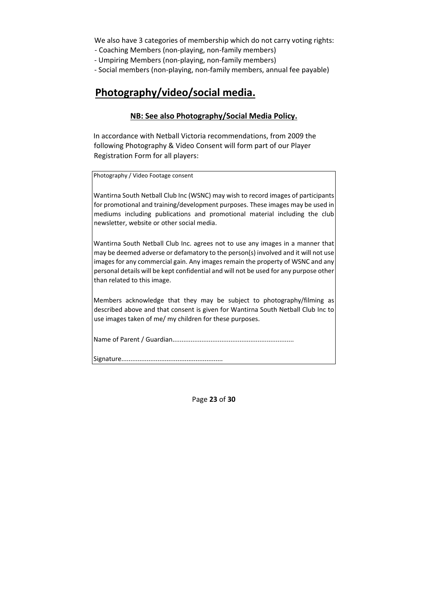We also have 3 categories of membership which do not carry voting rights:

‐ Coaching Members (non‐playing, non‐family members)

‐ Umpiring Members (non‐playing, non‐family members)

‐ Social members (non‐playing, non‐family members, annual fee payable)

## **Photography/video/social media.**

#### **NB: See also Photography/Social Media Policy.**

In accordance with Netball Victoria recommendations, from 2009 the following Photography & Video Consent will form part of our Player Registration Form for all players:

Photography / Video Footage consent

Wantirna South Netball Club Inc (WSNC) may wish to record images of participants for promotional and training/development purposes. These images may be used in mediums including publications and promotional material including the club newsletter, website or other social media.

Wantirna South Netball Club Inc. agrees not to use any images in a manner that may be deemed adverse or defamatory to the person(s) involved and it will not use images for any commercial gain. Any images remain the property of WSNC and any personal details will be kept confidential and will not be used for any purpose other than related to this image.

Members acknowledge that they may be subject to photography/filming as described above and that consent is given for Wantirna South Netball Club Inc to use images taken of me/ my children for these purposes.

Name of Parent / Guardian...................................................................

Signature........................................................

Page **23** of **30**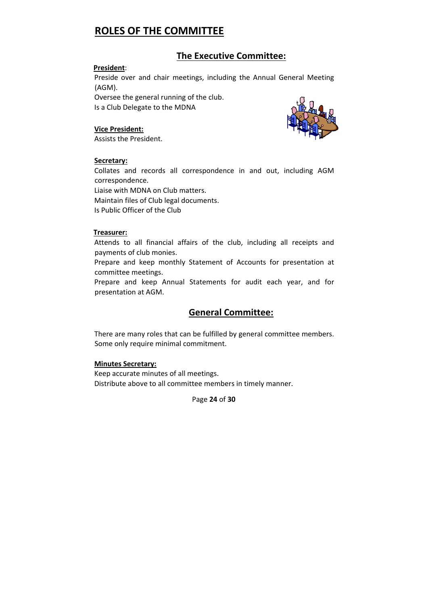## **ROLES OF THE COMMITTEE**

#### **The Executive Committee:**

#### **President**:

Preside over and chair meetings, including the Annual General Meeting (AGM).

Oversee the general running of the club. Is a Club Delegate to the MDNA

#### **Vice President:**

Assists the President.



#### **Secretary:**

Collates and records all correspondence in and out, including AGM correspondence.

Liaise with MDNA on Club matters. Maintain files of Club legal documents. Is Public Officer of the Club

#### **Treasurer:**

Attends to all financial affairs of the club, including all receipts and payments of club monies.

Prepare and keep monthly Statement of Accounts for presentation at committee meetings.

Prepare and keep Annual Statements for audit each year, and for presentation at AGM.

#### **General Committee:**

There are many roles that can be fulfilled by general committee members. Some only require minimal commitment.

#### **Minutes Secretary:**

Keep accurate minutes of all meetings. Distribute above to all committee members in timely manner.

Page **24** of **30**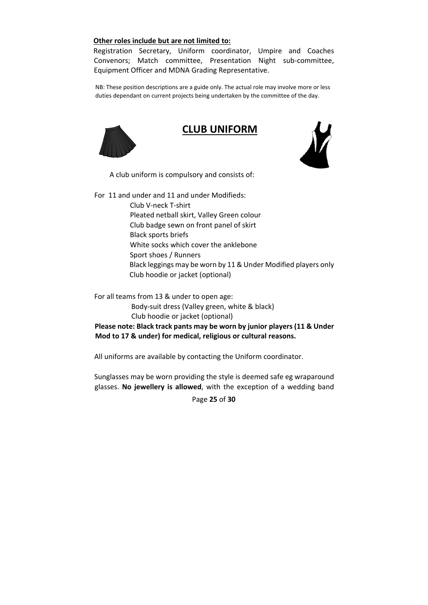#### **Other roles include but are not limited to:**

Registration Secretary, Uniform coordinator, Umpire and Coaches Convenors; Match committee, Presentation Night sub‐committee, Equipment Officer and MDNA Grading Representative.

NB: These position descriptions are a guide only. The actual role may involve more or less duties dependant on current projects being undertaken by the committee of the day.



### **CLUB UNIFORM**



A club uniform is compulsory and consists of:

For 11 and under and 11 and under Modifieds:

Club V‐neck T‐shirt Pleated netball skirt, Valley Green colour Club badge sewn on front panel of skirt Black sports briefs White socks which cover the anklebone Sport shoes / Runners Black leggings may be worn by 11 & Under Modified players only Club hoodie or jacket (optional)

For all teams from 13 & under to open age:

Body‐suit dress (Valley green, white & black) Club hoodie or jacket (optional)

**Please note: Black track pants may be worn by junior players (11 & Under Mod to 17 & under) for medical, religious or cultural reasons.** 

All uniforms are available by contacting the Uniform coordinator.

Sunglasses may be worn providing the style is deemed safe eg wraparound glasses. **No jewellery is allowed**, with the exception of a wedding band

Page **25** of **30**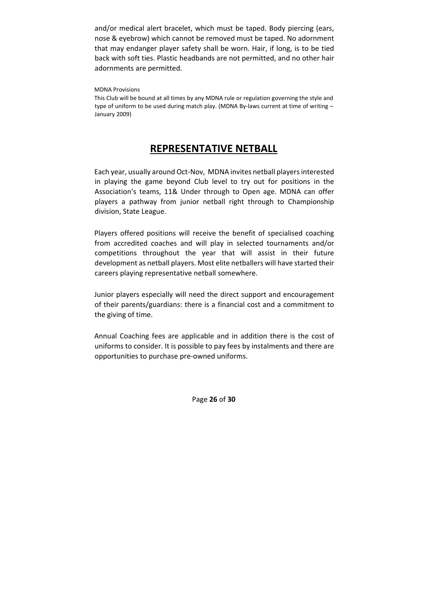and/or medical alert bracelet, which must be taped. Body piercing (ears, nose & eyebrow) which cannot be removed must be taped. No adornment that may endanger player safety shall be worn. Hair, if long, is to be tied back with soft ties. Plastic headbands are not permitted, and no other hair adornments are permitted.

#### MDNA Provisions

This Club will be bound at all times by any MDNA rule or regulation governing the style and type of uniform to be used during match play. (MDNA By-laws current at time of writing -January 2009)

### **REPRESENTATIVE NETBALL**

Each year, usually around Oct‐Nov, MDNA invites netball playersinterested in playing the game beyond Club level to try out for positions in the Association's teams, 11& Under through to Open age. MDNA can offer players a pathway from junior netball right through to Championship division, State League.

Players offered positions will receive the benefit of specialised coaching from accredited coaches and will play in selected tournaments and/or competitions throughout the year that will assist in their future development as netball players. Most elite netballers will have started their careers playing representative netball somewhere.

Junior players especially will need the direct support and encouragement of their parents/guardians: there is a financial cost and a commitment to the giving of time.

Annual Coaching fees are applicable and in addition there is the cost of uniforms to consider. It is possible to pay fees by instalments and there are opportunities to purchase pre‐owned uniforms.

Page **26** of **30**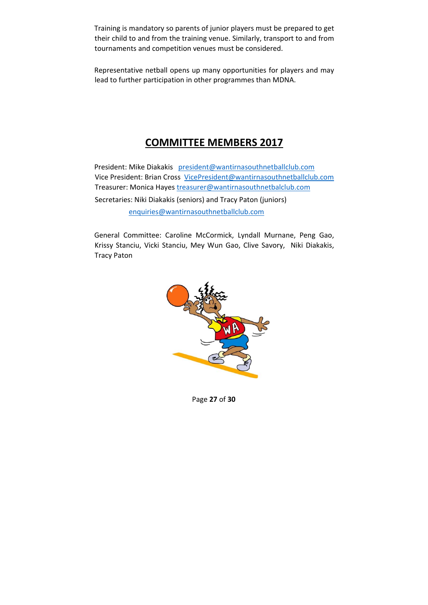Training is mandatory so parents of junior players must be prepared to get their child to and from the training venue. Similarly, transport to and from tournaments and competition venues must be considered.

Representative netball opens up many opportunities for players and may lead to further participation in other programmes than MDNA.

## **COMMITTEE MEMBERS 2017**

President: Mike Diakakis president@wantirnasouthnetballclub.com Vice President: Brian Cross VicePresident@wantirnasouthnetballclub.com Treasurer: Monica Hayes treasurer@wantirnasouthnetbalclub.com Secretaries: Niki Diakakis (seniors) and Tracy Paton (juniors) enquiries@wantirnasouthnetballclub.com

General Committee: Caroline McCormick, Lyndall Murnane, Peng Gao, Krissy Stanciu, Vicki Stanciu, Mey Wun Gao, Clive Savory, Niki Diakakis, Tracy Paton



Page **27** of **30**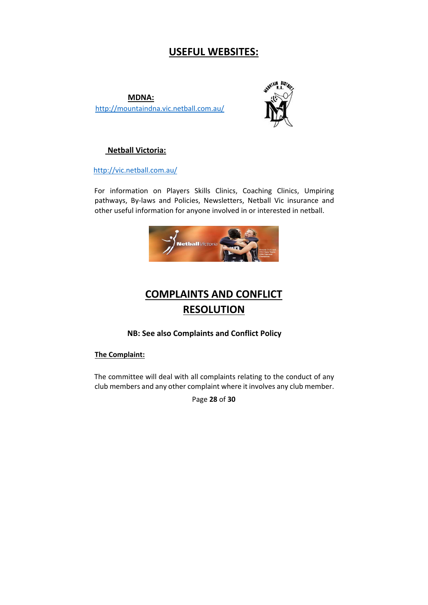## **USEFUL WEBSITES:**

**MDNA:**  http://mountaindna.vic.netball.com.au/



#### **Netball Victoria:**

http://vic.netball.com.au/

For information on Players Skills Clinics, Coaching Clinics, Umpiring pathways, By-laws and Policies, Newsletters, Netball Vic insurance and other useful information for anyone involved in or interested in netball.



## **COMPLAINTS AND CONFLICT RESOLUTION**

#### **NB: See also Complaints and Conflict Policy**

**The Complaint:** 

The committee will deal with all complaints relating to the conduct of any club members and any other complaint where it involves any club member.

Page **28** of **30**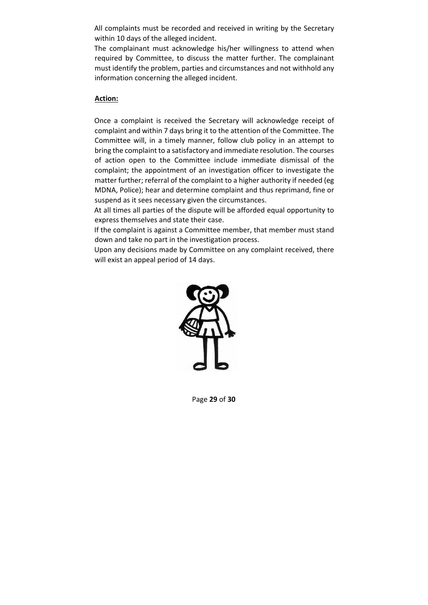All complaints must be recorded and received in writing by the Secretary within 10 days of the alleged incident.

The complainant must acknowledge his/her willingness to attend when required by Committee, to discuss the matter further. The complainant must identify the problem, parties and circumstances and not withhold any information concerning the alleged incident.

#### **Action:**

Once a complaint is received the Secretary will acknowledge receipt of complaint and within 7 days bring it to the attention of the Committee. The Committee will, in a timely manner, follow club policy in an attempt to bring the complaint to a satisfactory and immediate resolution. The courses of action open to the Committee include immediate dismissal of the complaint; the appointment of an investigation officer to investigate the matter further; referral of the complaint to a higher authority if needed (eg MDNA, Police); hear and determine complaint and thus reprimand, fine or suspend as it sees necessary given the circumstances.

At all times all parties of the dispute will be afforded equal opportunity to express themselves and state their case.

If the complaint is against a Committee member, that member must stand down and take no part in the investigation process.

Upon any decisions made by Committee on any complaint received, there will exist an appeal period of 14 days.



Page **29** of **30**